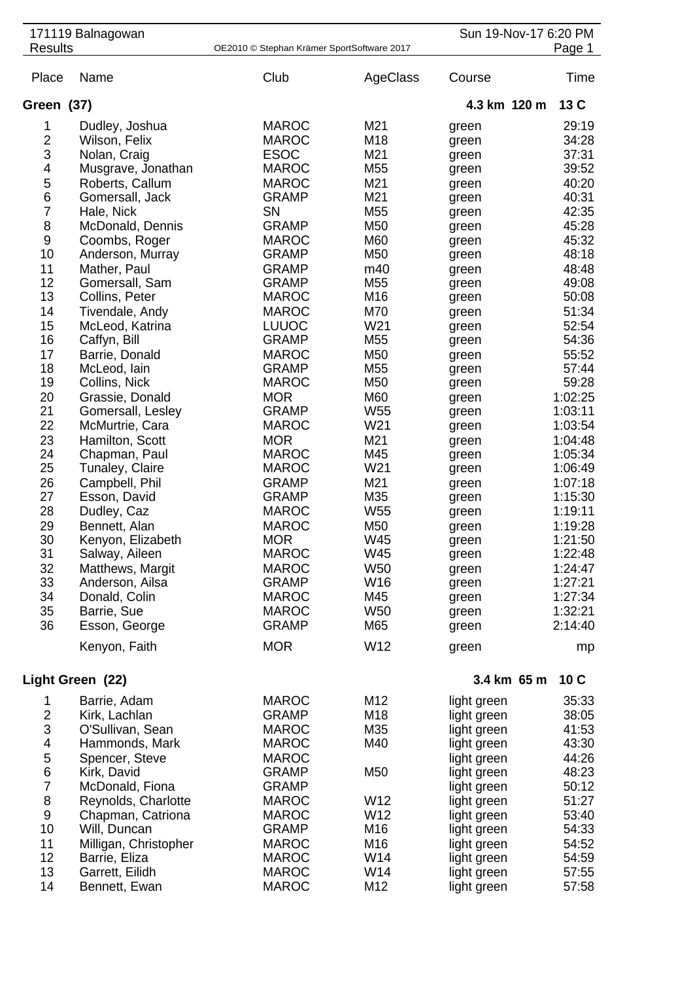| 171119 Balnagowan                                                      |                       |              |                 | Sun 19-Nov-17 6:20 PM |         |  |  |
|------------------------------------------------------------------------|-----------------------|--------------|-----------------|-----------------------|---------|--|--|
| <b>Results</b><br>Page 1<br>OE2010 © Stephan Krämer SportSoftware 2017 |                       |              |                 |                       |         |  |  |
| Place                                                                  | Name                  | Club         | AgeClass        | Course                | Time    |  |  |
| Green (37)                                                             |                       |              |                 | 4.3 km 120 m          | 13C     |  |  |
| 1                                                                      | Dudley, Joshua        | <b>MAROC</b> | M21             | green                 | 29:19   |  |  |
| $\overline{2}$                                                         | Wilson, Felix         | <b>MAROC</b> | M18             | green                 | 34:28   |  |  |
| 3                                                                      | Nolan, Craig          | <b>ESOC</b>  | M21             | green                 | 37:31   |  |  |
| 4                                                                      | Musgrave, Jonathan    | <b>MAROC</b> | M <sub>55</sub> | green                 | 39:52   |  |  |
| 5                                                                      | Roberts, Callum       | <b>MAROC</b> | M21             | green                 | 40:20   |  |  |
| 6                                                                      | Gomersall, Jack       | <b>GRAMP</b> | M21             | green                 | 40:31   |  |  |
| $\overline{7}$                                                         | Hale, Nick            | SN           | M <sub>55</sub> | green                 | 42:35   |  |  |
| 8                                                                      | McDonald, Dennis      | <b>GRAMP</b> | M <sub>50</sub> | green                 | 45:28   |  |  |
| 9                                                                      | Coombs, Roger         | <b>MAROC</b> | M60             | green                 | 45:32   |  |  |
| 10                                                                     | Anderson, Murray      | <b>GRAMP</b> | M50             | green                 | 48:18   |  |  |
| 11                                                                     | Mather, Paul          | <b>GRAMP</b> | m40             | green                 | 48:48   |  |  |
| 12                                                                     | Gomersall, Sam        | <b>GRAMP</b> | M <sub>55</sub> | green                 | 49:08   |  |  |
| 13                                                                     | Collins, Peter        | <b>MAROC</b> | M16             | green                 | 50:08   |  |  |
| 14                                                                     | Tivendale, Andy       | <b>MAROC</b> | M70             | green                 | 51:34   |  |  |
| 15                                                                     | McLeod, Katrina       | <b>LUUOC</b> | W21             | green                 | 52:54   |  |  |
| 16                                                                     | Caffyn, Bill          | <b>GRAMP</b> | M <sub>55</sub> | green                 | 54:36   |  |  |
| 17                                                                     | Barrie, Donald        | <b>MAROC</b> | M50             | green                 | 55:52   |  |  |
| 18                                                                     | McLeod, lain          | <b>GRAMP</b> | M <sub>55</sub> | green                 | 57:44   |  |  |
| 19                                                                     | Collins, Nick         | <b>MAROC</b> | M50             | green                 | 59:28   |  |  |
| 20                                                                     | Grassie, Donald       | <b>MOR</b>   | M60             | green                 | 1:02:25 |  |  |
| 21                                                                     | Gomersall, Lesley     | <b>GRAMP</b> | W <sub>55</sub> | green                 | 1:03:11 |  |  |
| 22                                                                     | McMurtrie, Cara       | <b>MAROC</b> | W21             | green                 | 1:03:54 |  |  |
| 23                                                                     | Hamilton, Scott       | <b>MOR</b>   | M21             | green                 | 1:04:48 |  |  |
| 24                                                                     | Chapman, Paul         | <b>MAROC</b> | M45             | green                 | 1:05:34 |  |  |
| 25                                                                     | Tunaley, Claire       | <b>MAROC</b> | W21             | green                 | 1:06:49 |  |  |
| 26                                                                     | Campbell, Phil        | <b>GRAMP</b> | M21             | green                 | 1:07:18 |  |  |
| 27                                                                     | Esson, David          | <b>GRAMP</b> | M35             | green                 | 1:15:30 |  |  |
| 28                                                                     | Dudley, Caz           | <b>MAROC</b> | W <sub>55</sub> | green                 | 1:19:11 |  |  |
| 29                                                                     | Bennett, Alan         | <b>MAROC</b> | M50             | green                 | 1:19:28 |  |  |
| 30                                                                     | Kenyon, Elizabeth     | <b>MOR</b>   | W45             | green                 | 1:21:50 |  |  |
| 31                                                                     | Salway, Aileen        | <b>MAROC</b> | W45             | green                 | 1:22:48 |  |  |
| 32                                                                     | Matthews, Margit      | <b>MAROC</b> | <b>W50</b>      | green                 | 1:24:47 |  |  |
| 33                                                                     | Anderson, Ailsa       | <b>GRAMP</b> | W16             | green                 | 1:27:21 |  |  |
| 34                                                                     | Donald, Colin         | <b>MAROC</b> | M45             | green                 | 1:27:34 |  |  |
| 35                                                                     | Barrie, Sue           | <b>MAROC</b> | <b>W50</b>      | green                 | 1:32:21 |  |  |
| 36                                                                     | Esson, George         | <b>GRAMP</b> | M65             | green                 | 2:14:40 |  |  |
|                                                                        | Kenyon, Faith         | <b>MOR</b>   | W12             | green                 | mp      |  |  |
|                                                                        | Light Green (22)      | 3.4 km 65 m  | 10C             |                       |         |  |  |
| 1                                                                      | Barrie, Adam          | <b>MAROC</b> | M12             | light green           | 35:33   |  |  |
| $\overline{\mathbf{c}}$                                                | Kirk, Lachlan         | <b>GRAMP</b> | M18             | light green           | 38:05   |  |  |
| 3                                                                      | O'Sullivan, Sean      | <b>MAROC</b> | M35             | light green           | 41:53   |  |  |
| 4                                                                      | Hammonds, Mark        | <b>MAROC</b> | M40             | light green           | 43:30   |  |  |
| 5                                                                      | Spencer, Steve        | <b>MAROC</b> |                 | light green           | 44:26   |  |  |
| $\,$ 6 $\,$                                                            | Kirk, David           | <b>GRAMP</b> | M <sub>50</sub> | light green           | 48:23   |  |  |
| $\overline{7}$                                                         | McDonald, Fiona       | <b>GRAMP</b> |                 | light green           | 50:12   |  |  |
| 8                                                                      | Reynolds, Charlotte   | <b>MAROC</b> | W12             | light green           | 51:27   |  |  |
| $\boldsymbol{9}$                                                       | Chapman, Catriona     | <b>MAROC</b> | W12             | light green           | 53:40   |  |  |
| 10                                                                     | Will, Duncan          | <b>GRAMP</b> | M16             | light green           | 54:33   |  |  |
| 11                                                                     | Milligan, Christopher | <b>MAROC</b> | M16             | light green           | 54:52   |  |  |
| 12                                                                     | Barrie, Eliza         | <b>MAROC</b> | W14             | light green           | 54:59   |  |  |
| 13                                                                     | Garrett, Eilidh       | <b>MAROC</b> | W14             | light green           | 57:55   |  |  |
| 14                                                                     | Bennett, Ewan         | <b>MAROC</b> | M12             | light green           | 57:58   |  |  |
|                                                                        |                       |              |                 |                       |         |  |  |